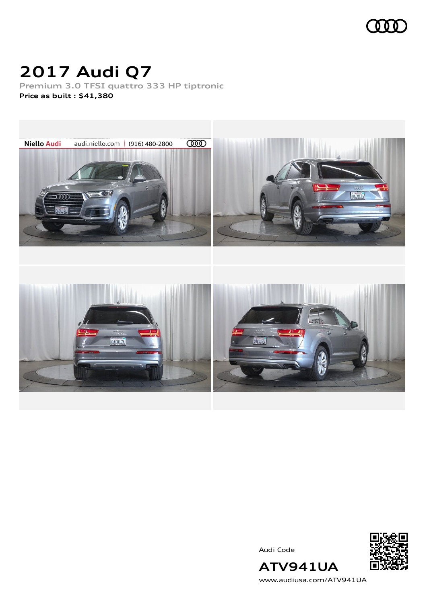

## **2017 Audi Q7**

**Premium 3.0 TFSI quattro 333 HP tiptronic Price as built [:](#page-10-0) \$41,380**



Audi Code



**ATV941UA** [www.audiusa.com/ATV941UA](https://www.audiusa.com/ATV941UA)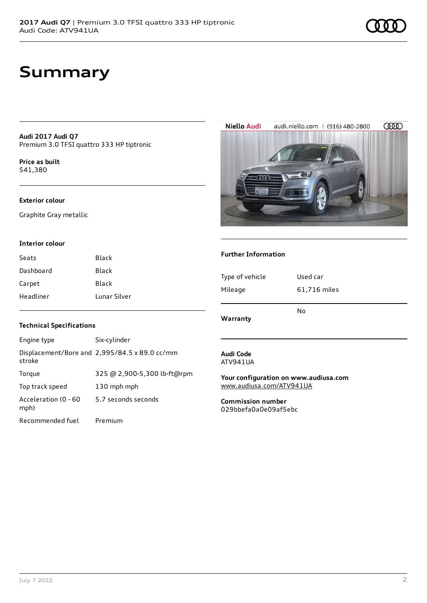## **Summary**

**Audi 2017 Audi Q7** Premium 3.0 TFSI quattro 333 HP tiptronic

**Price as buil[t](#page-10-0)** \$41,380

#### **Exterior colour**

Graphite Gray metallic

#### **Interior colour**

| Seats     | Black        |
|-----------|--------------|
| Dashboard | Black        |
| Carpet    | Black        |
| Headliner | Lunar Silver |

#### **Technical Specifications**

| Engine type                  | Six-cylinder                                  |
|------------------------------|-----------------------------------------------|
| stroke                       | Displacement/Bore and 2,995/84.5 x 89.0 cc/mm |
| Torque                       | 325 @ 2,900-5,300 lb-ft@rpm                   |
| Top track speed              | 130 mph mph                                   |
| Acceleration (0 - 60<br>mph) | 5.7 seconds seconds                           |
| Recommended fuel             | Premium                                       |

#### **Audi Code** ATV941UA

**Your configuration on www.audiusa.com** [www.audiusa.com/ATV941UA](https://www.audiusa.com/ATV941UA)

**Commission number** 029bbefa0a0e09af5ebc





### **Further Information**

| Warranty        | No           |  |
|-----------------|--------------|--|
| Mileage         | 61,716 miles |  |
| Type of vehicle | Used car     |  |
|                 |              |  |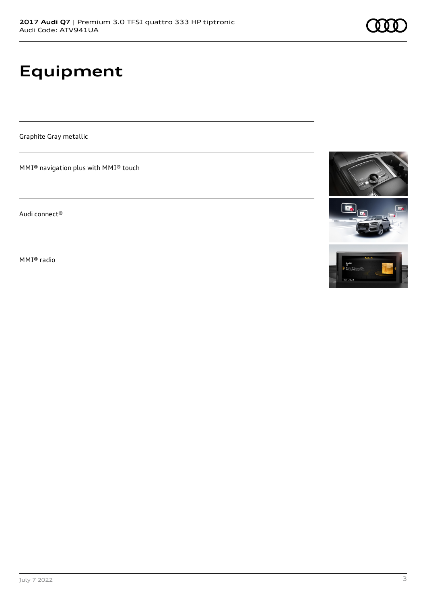# **Equipment**

Graphite Gray metallic

MMI® navigation plus with MMI® touch

Audi connect®

MMI® radio





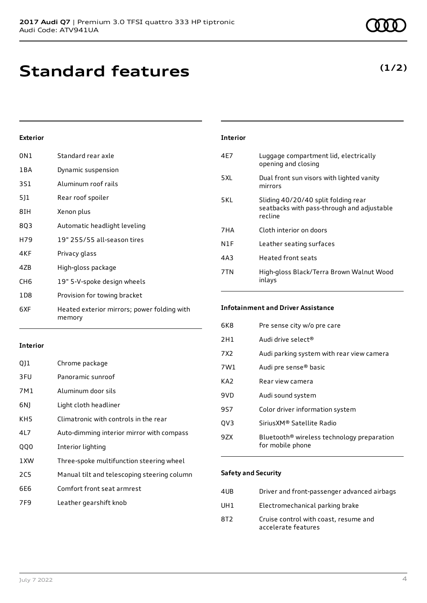## **Standard features**

### **Exterior**

| 0N1             | Standard rear axle                                    |
|-----------------|-------------------------------------------------------|
| 1 B A           | Dynamic suspension                                    |
| 3S1             | Aluminum roof rails                                   |
| 5]1             | Rear roof spoiler                                     |
| 8IH             | Xenon plus                                            |
| 8Q3             | Automatic headlight leveling                          |
| H79             | 19" 255/55 all-season tires                           |
| 4KF             | Privacy glass                                         |
| 4ZB             | High-gloss package                                    |
| CH <sub>6</sub> | 19" 5-V-spoke design wheels                           |
| 1D8             | Provision for towing bracket                          |
| 6XF             | Heated exterior mirrors; power folding with<br>memory |

#### **Interior**

| 011        | Chrome package                              |
|------------|---------------------------------------------|
| 3FU        | Panoramic sunroof                           |
| 7M1        | Aluminum door sils                          |
| 6N)        | Light cloth headliner                       |
| KH5        | Climatronic with controls in the rear       |
| 4L7        | Auto-dimming interior mirror with compass   |
| <b>QQ0</b> | Interior lighting                           |
| 1XW        | Three-spoke multifunction steering wheel    |
| 2C5        | Manual tilt and telescoping steering column |
| 6E6        | Comfort front seat armrest                  |
| 7F9        | Leather gearshift knob                      |
|            |                                             |

### 7HA Cloth interior on doors N1F Leather seating surfaces 4A3 Heated front seats 7TN High-gloss Black/Terra Brown Walnut Wood inlays **Infotainment and Driver Assistance**

**Interior**

| 6K8             | Pre sense city w/o pre care                                                |
|-----------------|----------------------------------------------------------------------------|
| 2H1             | Audi drive select <sup>®</sup>                                             |
| 7X2             | Audi parking system with rear view camera                                  |
| 7W1             | Audi pre sense® basic                                                      |
| KA <sub>2</sub> | Rear view camera                                                           |
| 9VD             | Audi sound system                                                          |
| 9S7             | Color driver information system                                            |
| QV3             | SiriusXM® Satellite Radio                                                  |
| 9ZX             | Bluetooth <sup>®</sup> wireless technology preparation<br>for mobile phone |

4E7 Luggage compartment lid, electrically opening and closing

5XL Dual front sun visors with lighted vanity

seatbacks with pass-through and adjustable

5KL Sliding 40/20/40 split folding rear

mirrors

recline

#### **Safety and Security**

| 4UB             | Driver and front-passenger advanced airbags                  |
|-----------------|--------------------------------------------------------------|
| UH <sub>1</sub> | Electromechanical parking brake                              |
| 8T <sub>2</sub> | Cruise control with coast, resume and<br>accelerate features |

### **(1/2)**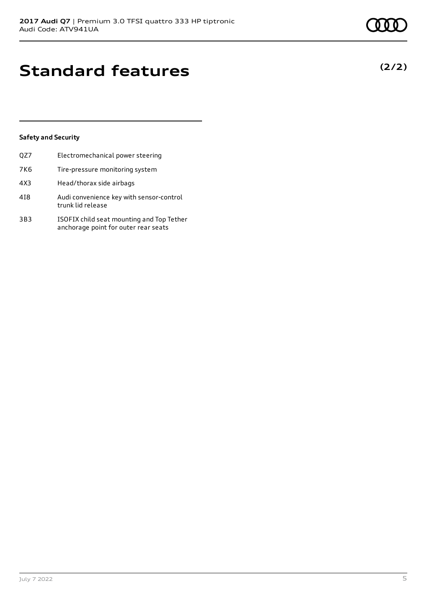## **Standard features**

### **Safety and Security**

| QZ7 | Electromechanical power steering                                                  |
|-----|-----------------------------------------------------------------------------------|
| 7K6 | Tire-pressure monitoring system                                                   |
| 4X3 | Head/thorax side airbags                                                          |
| 418 | Audi convenience key with sensor-control<br>trunk lid release                     |
| 3B3 | ISOFIX child seat mounting and Top Tether<br>anchorage point for outer rear seats |

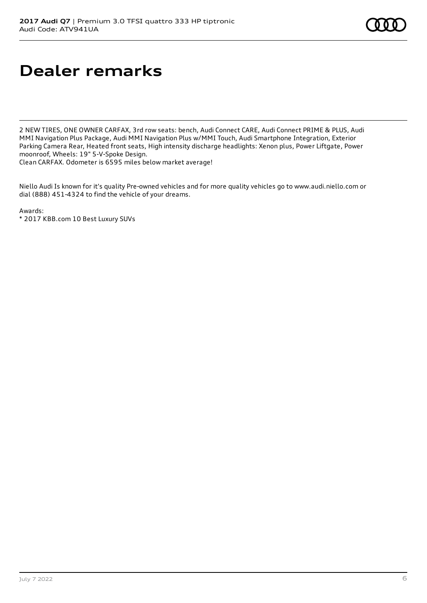# **Dealer remarks**

2 NEW TIRES, ONE OWNER CARFAX, 3rd row seats: bench, Audi Connect CARE, Audi Connect PRIME & PLUS, Audi MMI Navigation Plus Package, Audi MMI Navigation Plus w/MMI Touch, Audi Smartphone Integration, Exterior Parking Camera Rear, Heated front seats, High intensity discharge headlights: Xenon plus, Power Liftgate, Power moonroof, Wheels: 19" 5-V-Spoke Design.

Clean CARFAX. Odometer is 6595 miles below market average!

Niello Audi Is known for it's quality Pre-owned vehicles and for more quality vehicles go to www.audi.niello.com or dial (888) 451-4324 to find the vehicle of your dreams.

Awards: \* 2017 KBB.com 10 Best Luxury SUVs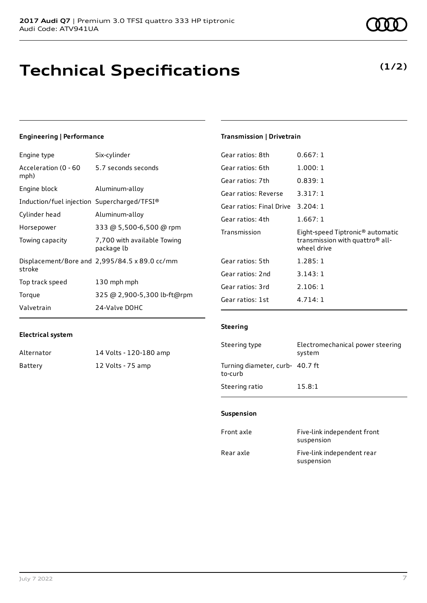# **Technical Specifications**

### **Engineering | Performance**

| Engine type                                 | Six-cylinder                                                 |
|---------------------------------------------|--------------------------------------------------------------|
| Acceleration (0 - 60<br>mph)                | 5.7 seconds seconds                                          |
| Engine block                                | Aluminum-alloy                                               |
| Induction/fuel injection Supercharged/TFSI® |                                                              |
| Cylinder head                               | Aluminum-alloy                                               |
| Horsepower                                  | 333 @ 5,500-6,500 @ rpm                                      |
| Towing capacity                             | 7,700 with available Towing<br>package lb                    |
| stroke                                      | Displacement/Bore and $2,995/84.5 \times 89.0 \text{ cc/mm}$ |
| Top track speed                             | 130 mph mph                                                  |
| Torque                                      | 325 @ 2,900-5,300 lb-ft@rpm                                  |
| Valvetrain                                  | 24-Valve DOHC                                                |

### **Transmission | Drivetrain**

| Gear ratios: 8th         | 0.667:1                                                                                                    |
|--------------------------|------------------------------------------------------------------------------------------------------------|
| Gear ratios: 6th         | 1.000:1                                                                                                    |
| Gear ratios: 7th         | 0.839:1                                                                                                    |
| Gear ratios: Reverse     | 3.317:1                                                                                                    |
| Gear ratios: Final Drive | 3.204:1                                                                                                    |
| Gear ratios: 4th         | 1.667:1                                                                                                    |
|                          |                                                                                                            |
| Transmission             | Eight-speed Tiptronic <sup>®</sup> automatic<br>transmission with quattro <sup>®</sup> all-<br>wheel drive |
| Gear ratios: 5th         | 1.285:1                                                                                                    |
| Gear ratios: 2nd         | 3.143:1                                                                                                    |
| Gear ratios: 3rd         | 2.106:1                                                                                                    |
| Gear ratios: 1st         | 4.714:1                                                                                                    |

### **Electrical system**

| Alternator | 14 Volts - 120-180 amp |
|------------|------------------------|
| Battery    | 12 Volts - 75 amp      |

### **Steering**

| Steering type                              | Electromechanical power steering<br>system |
|--------------------------------------------|--------------------------------------------|
| Turning diameter, curb- 40.7 ft<br>to-curb |                                            |
| Steering ratio                             | 15.8:1                                     |

#### **Suspension**

| Front axle | Five-link independent front<br>suspension |
|------------|-------------------------------------------|
| Rear axle  | Five-link independent rear<br>suspension  |

### **(1/2)**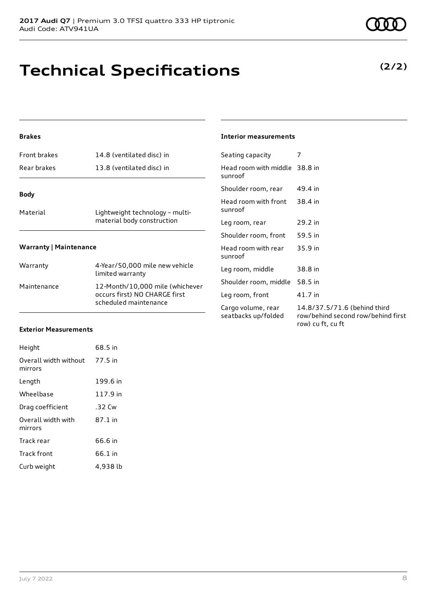## **Technical Specifications**

### **Brakes**

| <b>Front brakes</b>           | 14.8 (ventilated disc) in                                     |
|-------------------------------|---------------------------------------------------------------|
| Rear brakes                   | 13.8 (ventilated disc) in                                     |
| <b>Body</b>                   |                                                               |
| Material                      | Lightweight technology - multi-<br>material body construction |
| <b>Warranty   Maintenance</b> |                                                               |
| Warranty                      | 4-Year/50,000 mile new vehicle<br>limited warranty            |

| .           | limited warranty                                                                          |
|-------------|-------------------------------------------------------------------------------------------|
| Maintenance | 12-Month/10,000 mile (whichever<br>occurs first) NO CHARGE first<br>scheduled maintenance |

### **Interior measurements**

| Seating capacity                          | 7                                                                                       |
|-------------------------------------------|-----------------------------------------------------------------------------------------|
| Head room with middle 38.8 in<br>sunroof  |                                                                                         |
| Shoulder room, rear                       | 49.4 in                                                                                 |
| Head room with front<br>sunroof           | 38.4 in                                                                                 |
| Leg room, rear                            | 29.2 in                                                                                 |
| Shoulder room, front                      | 59.5 in                                                                                 |
| Head room with rear<br>sunroof            | 35.9 in                                                                                 |
| Leg room, middle                          | 38.8 in                                                                                 |
| Shoulder room, middle                     | 58.5 in                                                                                 |
| Leg room, front                           | 41.7 in                                                                                 |
| Cargo volume, rear<br>seatbacks up/folded | 14.8/37.5/71.6 (behind third<br>row/behind second row/behind first<br>row) cu ft, cu ft |

#### **Exterior Measurements**

| Height                           | 68.5 in  |
|----------------------------------|----------|
| Overall width without<br>mirrors | 77.5 in  |
| Length                           | 199.6 in |
| Wheelbase                        | 117.9 in |
| Drag coefficient                 | .32 Cw   |
| Overall width with<br>mirrors    | 87.1 in  |
| Track rear                       | 66.6 in  |
| <b>Track front</b>               | 66.1 in  |
| Curb weight                      | 4,938 lb |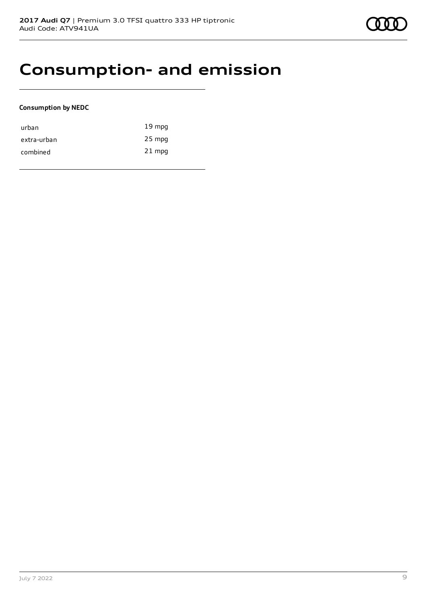### **Consumption- and emission**

#### **Consumption by NEDC**

| urban       | $19 \text{ mpg}$ |
|-------------|------------------|
| extra-urban | 25 mpg           |
| combined    | $21$ mpg         |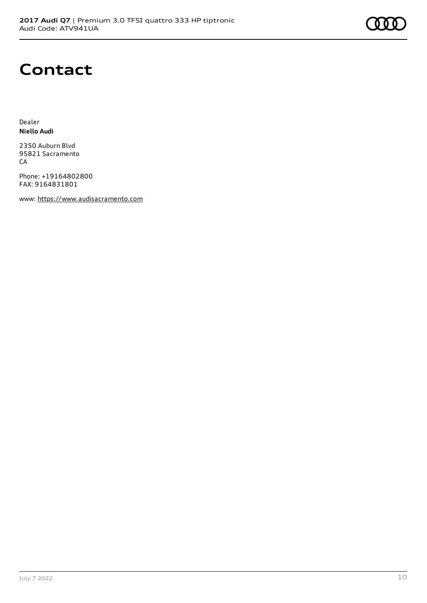### **Contact**

Dealer **Niello Audi**

2350 Auburn Blvd 95821 Sacramento **CA** 

Phone: +19164802800 FAX: 9164831801

www: [https://www.audisacramento.com](https://www.audisacramento.com/)